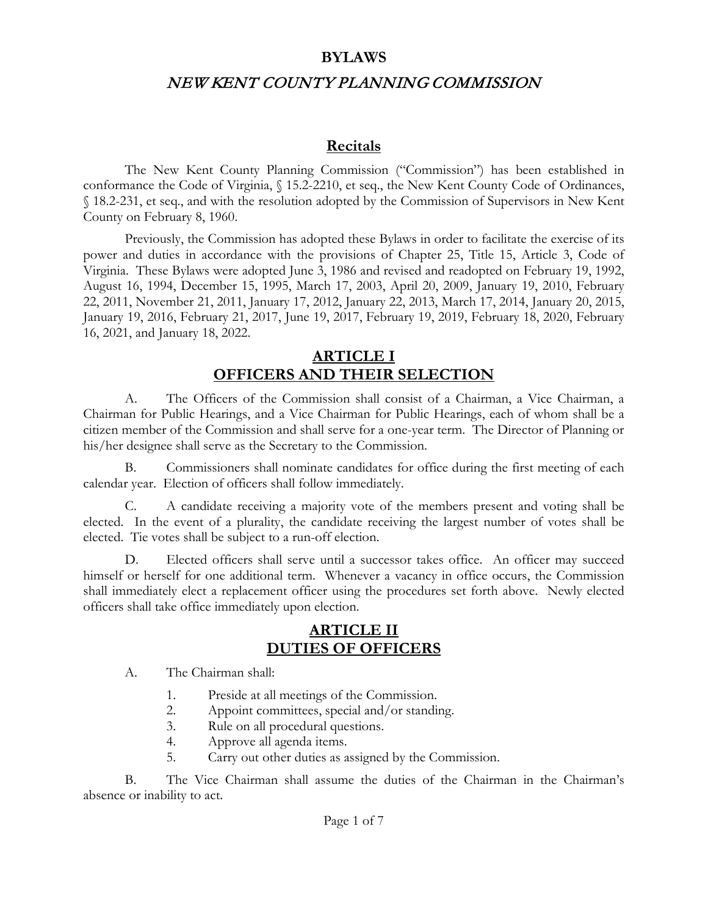#### **BYLAWS**

### NEW KENT COUNTY PLANNING COMMISSION

#### **Recitals**

The New Kent County Planning Commission ("Commission") has been established in conformance the Code of Virginia, § 15.2-2210, et seq., the New Kent County Code of Ordinances, § 18.2-231, et seq., and with the resolution adopted by the Commission of Supervisors in New Kent County on February 8, 1960.

Previously, the Commission has adopted these Bylaws in order to facilitate the exercise of its power and duties in accordance with the provisions of Chapter 25, Title 15, Article 3, Code of Virginia. These Bylaws were adopted June 3, 1986 and revised and readopted on February 19, 1992, August 16, 1994, December 15, 1995, March 17, 2003, April 20, 2009, January 19, 2010, February 22, 2011, November 21, 2011, January 17, 2012, January 22, 2013, March 17, 2014, January 20, 2015, January 19, 2016, February 21, 2017, June 19, 2017, February 19, 2019, February 18, 2020, February 16, 2021, and January 18, 2022.

### **ARTICLE I OFFICERS AND THEIR SELECTION**

A. The Officers of the Commission shall consist of a Chairman, a Vice Chairman, a Chairman for Public Hearings, and a Vice Chairman for Public Hearings, each of whom shall be a citizen member of the Commission and shall serve for a one-year term. The Director of Planning or his/her designee shall serve as the Secretary to the Commission.

B. Commissioners shall nominate candidates for office during the first meeting of each calendar year. Election of officers shall follow immediately.

C. A candidate receiving a majority vote of the members present and voting shall be elected. In the event of a plurality, the candidate receiving the largest number of votes shall be elected. Tie votes shall be subject to a run-off election.

D. Elected officers shall serve until a successor takes office. An officer may succeed himself or herself for one additional term. Whenever a vacancy in office occurs, the Commission shall immediately elect a replacement officer using the procedures set forth above. Newly elected officers shall take office immediately upon election.

### **ARTICLE II DUTIES OF OFFICERS**

A. The Chairman shall:

- 1. Preside at all meetings of the Commission.
- 2. Appoint committees, special and/or standing.
- 3. Rule on all procedural questions.
- 4. Approve all agenda items.
- 5. Carry out other duties as assigned by the Commission.

B. The Vice Chairman shall assume the duties of the Chairman in the Chairman's absence or inability to act.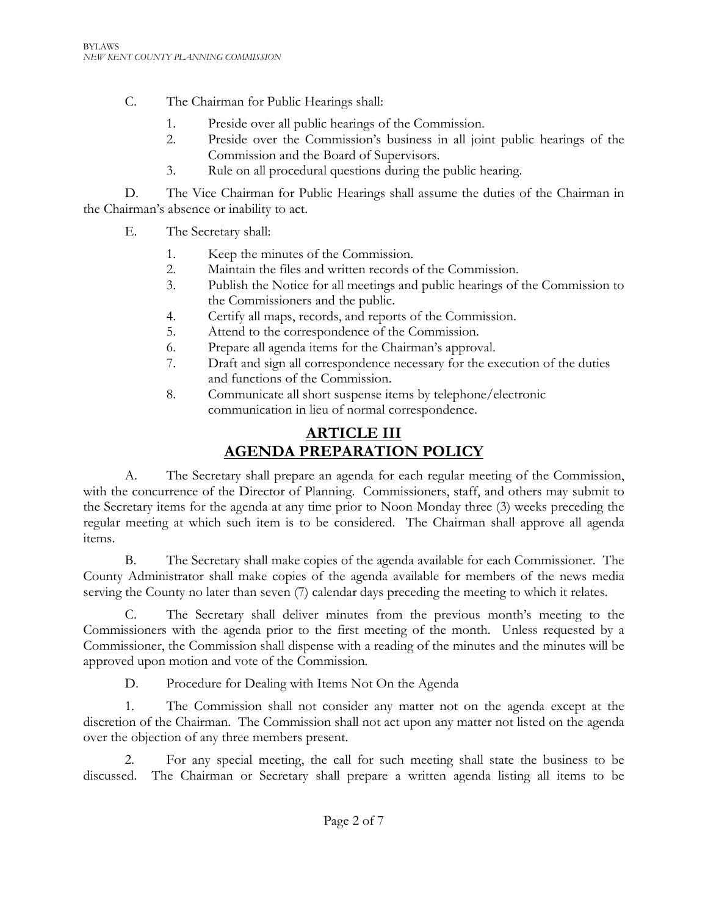- C. The Chairman for Public Hearings shall:
	- 1. Preside over all public hearings of the Commission.
	- 2. Preside over the Commission's business in all joint public hearings of the Commission and the Board of Supervisors.
	- 3. Rule on all procedural questions during the public hearing.

D. The Vice Chairman for Public Hearings shall assume the duties of the Chairman in the Chairman's absence or inability to act.

- E. The Secretary shall:
	- 1. Keep the minutes of the Commission.
	- 2. Maintain the files and written records of the Commission.
	- 3. Publish the Notice for all meetings and public hearings of the Commission to the Commissioners and the public.
	- 4. Certify all maps, records, and reports of the Commission.
	- 5. Attend to the correspondence of the Commission.
	- 6. Prepare all agenda items for the Chairman's approval.
	- 7. Draft and sign all correspondence necessary for the execution of the duties and functions of the Commission.
	- 8. Communicate all short suspense items by telephone/electronic communication in lieu of normal correspondence.

# **ARTICLE III AGENDA PREPARATION POLICY**

A. The Secretary shall prepare an agenda for each regular meeting of the Commission, with the concurrence of the Director of Planning. Commissioners, staff, and others may submit to the Secretary items for the agenda at any time prior to Noon Monday three (3) weeks preceding the regular meeting at which such item is to be considered. The Chairman shall approve all agenda items.

B. The Secretary shall make copies of the agenda available for each Commissioner. The County Administrator shall make copies of the agenda available for members of the news media serving the County no later than seven (7) calendar days preceding the meeting to which it relates.

C. The Secretary shall deliver minutes from the previous month's meeting to the Commissioners with the agenda prior to the first meeting of the month. Unless requested by a Commissioner, the Commission shall dispense with a reading of the minutes and the minutes will be approved upon motion and vote of the Commission.

D. Procedure for Dealing with Items Not On the Agenda

1. The Commission shall not consider any matter not on the agenda except at the discretion of the Chairman. The Commission shall not act upon any matter not listed on the agenda over the objection of any three members present.

2. For any special meeting, the call for such meeting shall state the business to be discussed. The Chairman or Secretary shall prepare a written agenda listing all items to be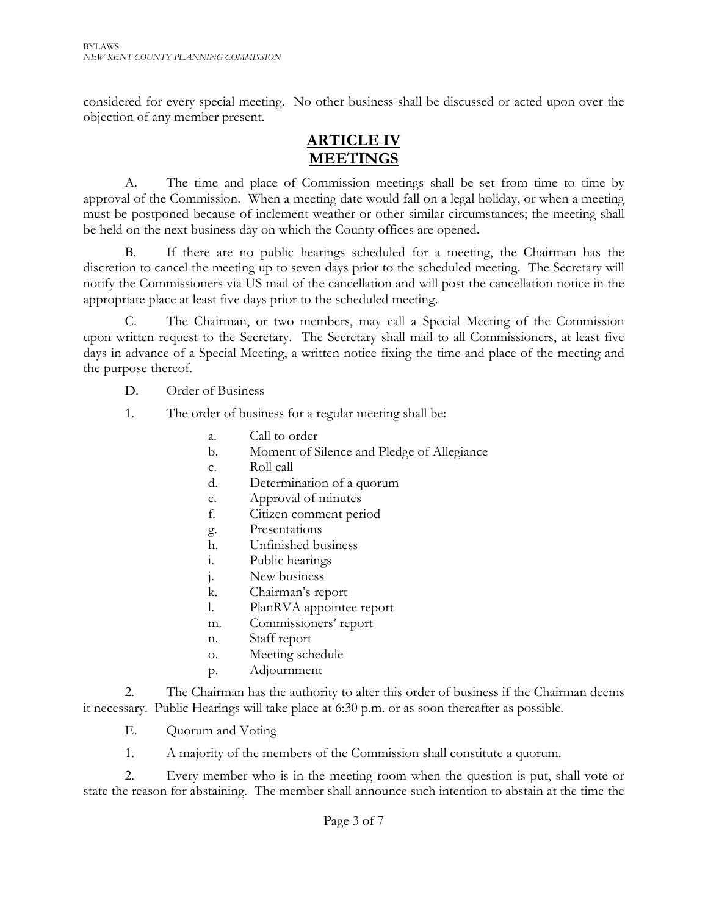considered for every special meeting. No other business shall be discussed or acted upon over the objection of any member present.

### **ARTICLE IV MEETINGS**

A. The time and place of Commission meetings shall be set from time to time by approval of the Commission. When a meeting date would fall on a legal holiday, or when a meeting must be postponed because of inclement weather or other similar circumstances; the meeting shall be held on the next business day on which the County offices are opened.

B. If there are no public hearings scheduled for a meeting, the Chairman has the discretion to cancel the meeting up to seven days prior to the scheduled meeting. The Secretary will notify the Commissioners via US mail of the cancellation and will post the cancellation notice in the appropriate place at least five days prior to the scheduled meeting.

C. The Chairman, or two members, may call a Special Meeting of the Commission upon written request to the Secretary. The Secretary shall mail to all Commissioners, at least five days in advance of a Special Meeting, a written notice fixing the time and place of the meeting and the purpose thereof.

- D. Order of Business
- 1. The order of business for a regular meeting shall be:
	- a. Call to order
	- b. Moment of Silence and Pledge of Allegiance
	- c. Roll call
	- d. Determination of a quorum
	- e. Approval of minutes
	- f. Citizen comment period
	- g. Presentations
	- h. Unfinished business
	- i. Public hearings
	- j. New business
	- k. Chairman's report
	- l. PlanRVA appointee report
	- m. Commissioners' report
	- n. Staff report
	- o. Meeting schedule
	- p. Adjournment

2. The Chairman has the authority to alter this order of business if the Chairman deems it necessary. Public Hearings will take place at 6:30 p.m. or as soon thereafter as possible.

- E. Quorum and Voting
- 1. A majority of the members of the Commission shall constitute a quorum.

2. Every member who is in the meeting room when the question is put, shall vote or state the reason for abstaining. The member shall announce such intention to abstain at the time the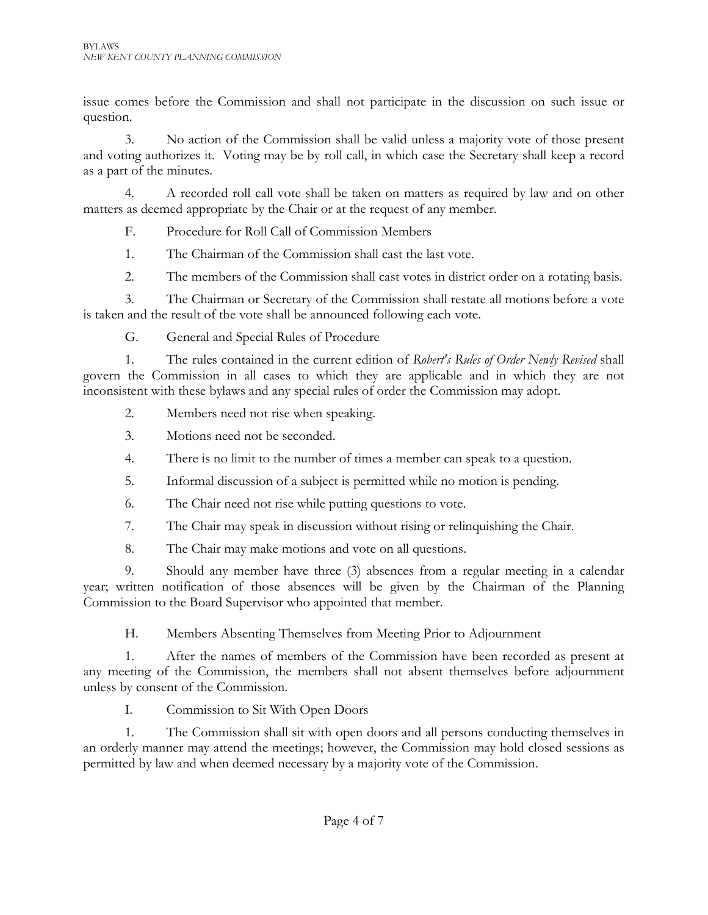issue comes before the Commission and shall not participate in the discussion on such issue or question.

3. No action of the Commission shall be valid unless a majority vote of those present and voting authorizes it. Voting may be by roll call, in which case the Secretary shall keep a record as a part of the minutes.

4. A recorded roll call vote shall be taken on matters as required by law and on other matters as deemed appropriate by the Chair or at the request of any member.

F. Procedure for Roll Call of Commission Members

1. The Chairman of the Commission shall cast the last vote.

2. The members of the Commission shall cast votes in district order on a rotating basis.

3. The Chairman or Secretary of the Commission shall restate all motions before a vote is taken and the result of the vote shall be announced following each vote.

G. General and Special Rules of Procedure

1. The rules contained in the current edition of *Robert's Rules of Order Newly Revised* shall govern the Commission in all cases to which they are applicable and in which they are not inconsistent with these bylaws and any special rules of order the Commission may adopt.

2. Members need not rise when speaking.

3. Motions need not be seconded.

- 4. There is no limit to the number of times a member can speak to a question.
- 5. Informal discussion of a subject is permitted while no motion is pending.
- 6. The Chair need not rise while putting questions to vote.
- 7. The Chair may speak in discussion without rising or relinquishing the Chair.
- 8. The Chair may make motions and vote on all questions.

9. Should any member have three (3) absences from a regular meeting in a calendar year; written notification of those absences will be given by the Chairman of the Planning Commission to the Board Supervisor who appointed that member.

H. Members Absenting Themselves from Meeting Prior to Adjournment

1. After the names of members of the Commission have been recorded as present at any meeting of the Commission, the members shall not absent themselves before adjournment unless by consent of the Commission.

I. Commission to Sit With Open Doors

1. The Commission shall sit with open doors and all persons conducting themselves in an orderly manner may attend the meetings; however, the Commission may hold closed sessions as permitted by law and when deemed necessary by a majority vote of the Commission.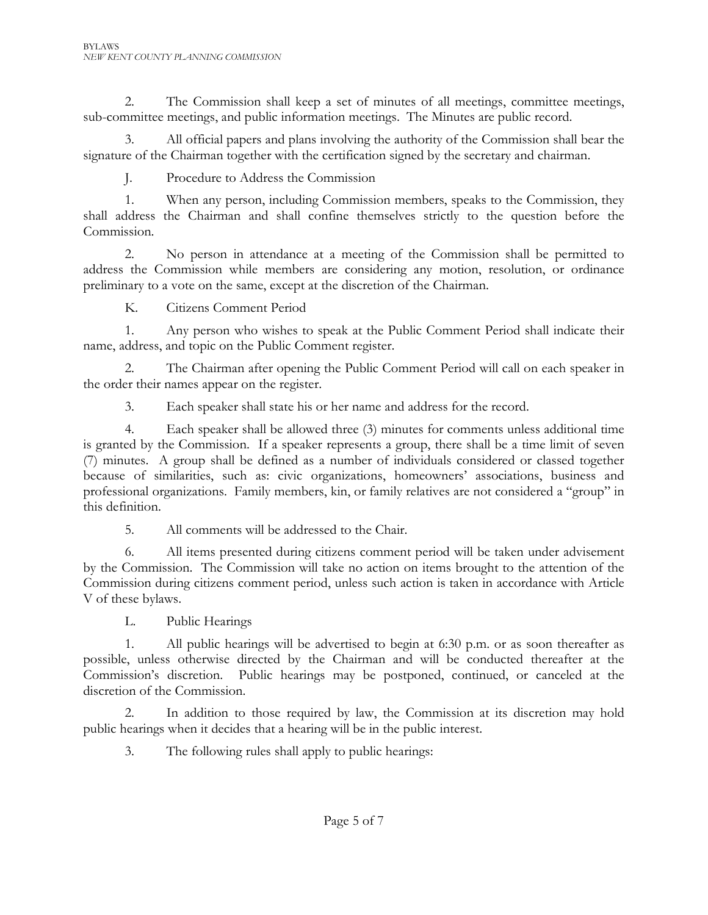2. The Commission shall keep a set of minutes of all meetings, committee meetings, sub-committee meetings, and public information meetings. The Minutes are public record.

All official papers and plans involving the authority of the Commission shall bear the signature of the Chairman together with the certification signed by the secretary and chairman.

J. Procedure to Address the Commission

1. When any person, including Commission members, speaks to the Commission, they shall address the Chairman and shall confine themselves strictly to the question before the Commission.

2. No person in attendance at a meeting of the Commission shall be permitted to address the Commission while members are considering any motion, resolution, or ordinance preliminary to a vote on the same, except at the discretion of the Chairman.

K. Citizens Comment Period

1. Any person who wishes to speak at the Public Comment Period shall indicate their name, address, and topic on the Public Comment register.

2. The Chairman after opening the Public Comment Period will call on each speaker in the order their names appear on the register.

3. Each speaker shall state his or her name and address for the record.

4. Each speaker shall be allowed three (3) minutes for comments unless additional time is granted by the Commission. If a speaker represents a group, there shall be a time limit of seven (7) minutes. A group shall be defined as a number of individuals considered or classed together because of similarities, such as: civic organizations, homeowners' associations, business and professional organizations. Family members, kin, or family relatives are not considered a "group" in this definition.

5. All comments will be addressed to the Chair.

6. All items presented during citizens comment period will be taken under advisement by the Commission. The Commission will take no action on items brought to the attention of the Commission during citizens comment period, unless such action is taken in accordance with Article V of these bylaws.

L. Public Hearings

1. All public hearings will be advertised to begin at 6:30 p.m. or as soon thereafter as possible, unless otherwise directed by the Chairman and will be conducted thereafter at the Commission's discretion. Public hearings may be postponed, continued, or canceled at the discretion of the Commission.

2. In addition to those required by law, the Commission at its discretion may hold public hearings when it decides that a hearing will be in the public interest.

3. The following rules shall apply to public hearings: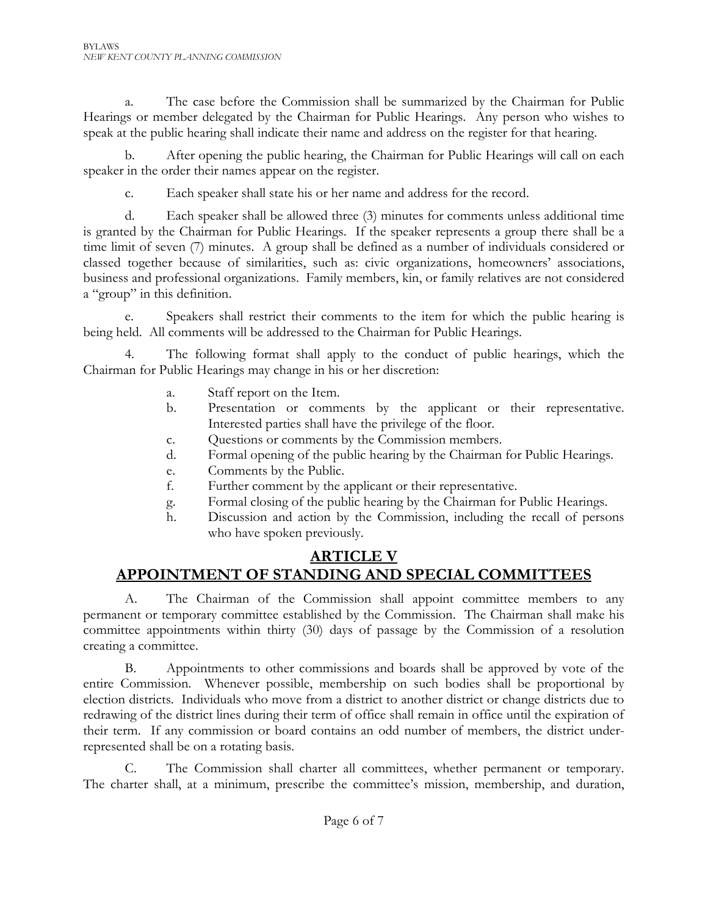a. The case before the Commission shall be summarized by the Chairman for Public Hearings or member delegated by the Chairman for Public Hearings. Any person who wishes to speak at the public hearing shall indicate their name and address on the register for that hearing.

b. After opening the public hearing, the Chairman for Public Hearings will call on each speaker in the order their names appear on the register.

c. Each speaker shall state his or her name and address for the record.

d. Each speaker shall be allowed three (3) minutes for comments unless additional time is granted by the Chairman for Public Hearings. If the speaker represents a group there shall be a time limit of seven (7) minutes. A group shall be defined as a number of individuals considered or classed together because of similarities, such as: civic organizations, homeowners' associations, business and professional organizations. Family members, kin, or family relatives are not considered a "group" in this definition.

e. Speakers shall restrict their comments to the item for which the public hearing is being held. All comments will be addressed to the Chairman for Public Hearings.

4. The following format shall apply to the conduct of public hearings, which the Chairman for Public Hearings may change in his or her discretion:

- a. Staff report on the Item.
- b. Presentation or comments by the applicant or their representative. Interested parties shall have the privilege of the floor.
- c. Questions or comments by the Commission members.
- d. Formal opening of the public hearing by the Chairman for Public Hearings.
- e. Comments by the Public.
- f. Further comment by the applicant or their representative.
- g. Formal closing of the public hearing by the Chairman for Public Hearings.
- h. Discussion and action by the Commission, including the recall of persons who have spoken previously.

# **ARTICLE V APPOINTMENT OF STANDING AND SPECIAL COMMITTEES**

A. The Chairman of the Commission shall appoint committee members to any permanent or temporary committee established by the Commission. The Chairman shall make his committee appointments within thirty (30) days of passage by the Commission of a resolution creating a committee.

B. Appointments to other commissions and boards shall be approved by vote of the entire Commission. Whenever possible, membership on such bodies shall be proportional by election districts. Individuals who move from a district to another district or change districts due to redrawing of the district lines during their term of office shall remain in office until the expiration of their term. If any commission or board contains an odd number of members, the district underrepresented shall be on a rotating basis.

C. The Commission shall charter all committees, whether permanent or temporary. The charter shall, at a minimum, prescribe the committee's mission, membership, and duration,